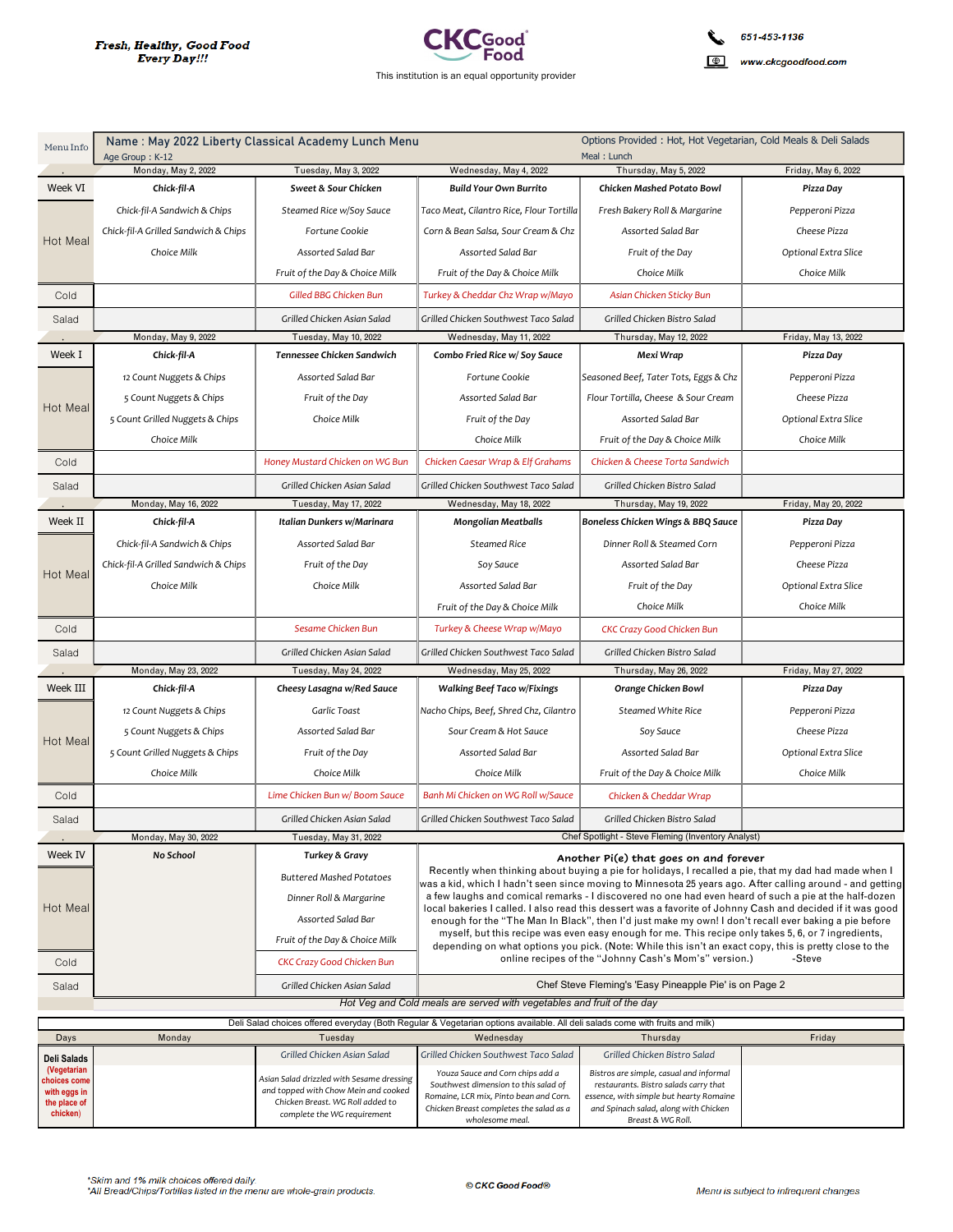

| Menu Info                   | Name: May 2022 Liberty Classical Academy Lunch Menu<br>Age Group: K-12 |                                                                 | Options Provided: Hot, Hot Vegetarian, Cold Meals & Deli Salads<br>Meal: Lunch                                                                                                                                                                                                                                                                                                                                                       |                                                                                                                                                                                                                    |                      |
|-----------------------------|------------------------------------------------------------------------|-----------------------------------------------------------------|--------------------------------------------------------------------------------------------------------------------------------------------------------------------------------------------------------------------------------------------------------------------------------------------------------------------------------------------------------------------------------------------------------------------------------------|--------------------------------------------------------------------------------------------------------------------------------------------------------------------------------------------------------------------|----------------------|
|                             | Monday, May 2, 2022                                                    | Tuesday, May 3, 2022                                            | Wednesday, May 4, 2022                                                                                                                                                                                                                                                                                                                                                                                                               | Thursday, May 5, 2022                                                                                                                                                                                              | Friday, May 6, 2022  |
| Week VI                     | Chick-fil-A                                                            | Sweet & Sour Chicken                                            | <b>Build Your Own Burrito</b>                                                                                                                                                                                                                                                                                                                                                                                                        | Chicken Mashed Potato Bowl                                                                                                                                                                                         | Pizza Day            |
| Hot Meal                    | Chick-fil-A Sandwich & Chips                                           | Steamed Rice w/Soy Sauce                                        | Taco Meat, Cilantro Rice, Flour Tortilla                                                                                                                                                                                                                                                                                                                                                                                             | Fresh Bakery Roll & Margarine                                                                                                                                                                                      | Pepperoni Pizza      |
|                             | Chick-fil-A Grilled Sandwich & Chips                                   | Fortune Cookie                                                  | Corn & Bean Salsa, Sour Cream & Chz                                                                                                                                                                                                                                                                                                                                                                                                  | Assorted Salad Bar                                                                                                                                                                                                 | Cheese Pizza         |
|                             | Choice Milk                                                            | Assorted Salad Bar                                              | Assorted Salad Bar                                                                                                                                                                                                                                                                                                                                                                                                                   | Fruit of the Day                                                                                                                                                                                                   | Optional Extra Slice |
|                             |                                                                        | Fruit of the Day & Choice Milk                                  | Fruit of the Day & Choice Milk                                                                                                                                                                                                                                                                                                                                                                                                       | Choice Milk                                                                                                                                                                                                        | Choice Milk          |
| Cold                        |                                                                        | Gilled BBG Chicken Bun                                          | Turkey & Cheddar Chz Wrap w/Mayo                                                                                                                                                                                                                                                                                                                                                                                                     | Asian Chicken Sticky Bun                                                                                                                                                                                           |                      |
| Salad                       |                                                                        | Grilled Chicken Asian Salad                                     | Grilled Chicken Southwest Taco Salad                                                                                                                                                                                                                                                                                                                                                                                                 | Grilled Chicken Bistro Salad                                                                                                                                                                                       |                      |
|                             | Monday, May 9, 2022                                                    | Tuesday, May 10, 2022                                           | Wednesday, May 11, 2022                                                                                                                                                                                                                                                                                                                                                                                                              | Thursday, May 12, 2022                                                                                                                                                                                             | Friday, May 13, 2022 |
| Week I                      | Chick-fil-A                                                            | Tennessee Chicken Sandwich                                      | Combo Fried Rice w/ Soy Sauce                                                                                                                                                                                                                                                                                                                                                                                                        | Mexi Wrap                                                                                                                                                                                                          | Pizza Day            |
|                             | 12 Count Nuggets & Chips                                               | Assorted Salad Bar                                              | Fortune Cookie                                                                                                                                                                                                                                                                                                                                                                                                                       | Seasoned Beef, Tater Tots, Eggs & Chz                                                                                                                                                                              | Pepperoni Pizza      |
|                             | 5 Count Nuggets & Chips                                                | Fruit of the Day                                                | Assorted Salad Bar                                                                                                                                                                                                                                                                                                                                                                                                                   | Flour Tortilla, Cheese & Sour Cream                                                                                                                                                                                | Cheese Pizza         |
| Hot Meal                    | 5 Count Grilled Nuggets & Chips                                        | Choice Milk                                                     | Fruit of the Day                                                                                                                                                                                                                                                                                                                                                                                                                     | Assorted Salad Bar                                                                                                                                                                                                 | Optional Extra Slice |
|                             | Choice Milk                                                            |                                                                 | Choice Milk                                                                                                                                                                                                                                                                                                                                                                                                                          | Fruit of the Day & Choice Milk                                                                                                                                                                                     | Choice Milk          |
| Cold                        |                                                                        | Honey Mustard Chicken on WG Bun                                 | Chicken Caesar Wrap & Elf Grahams                                                                                                                                                                                                                                                                                                                                                                                                    | Chicken & Cheese Torta Sandwich                                                                                                                                                                                    |                      |
| Salad                       |                                                                        | Grilled Chicken Asian Salad                                     | Grilled Chicken Southwest Taco Salad                                                                                                                                                                                                                                                                                                                                                                                                 | Grilled Chicken Bistro Salad                                                                                                                                                                                       |                      |
|                             | Monday, May 16, 2022                                                   | Tuesday, May 17, 2022                                           | Wednesday, May 18, 2022                                                                                                                                                                                                                                                                                                                                                                                                              | Thursday, May 19, 2022                                                                                                                                                                                             | Friday, May 20, 2022 |
| Week II                     | Chick-fil-A                                                            | Italian Dunkers w/Marinara                                      | <b>Mongolian Meatballs</b>                                                                                                                                                                                                                                                                                                                                                                                                           | Boneless Chicken Wings & BBQ Sauce                                                                                                                                                                                 | Pizza Day            |
|                             | Chick-fil-A Sandwich & Chips                                           | Assorted Salad Bar                                              | <b>Steamed Rice</b>                                                                                                                                                                                                                                                                                                                                                                                                                  | Dinner Roll & Steamed Corn                                                                                                                                                                                         | Pepperoni Pizza      |
|                             | Chick-fil-A Grilled Sandwich & Chips                                   | Fruit of the Day                                                | Soy Sauce                                                                                                                                                                                                                                                                                                                                                                                                                            | Assorted Salad Bar                                                                                                                                                                                                 | Cheese Pizza         |
| Hot Meal                    | Choice Milk                                                            | Choice Milk                                                     | Assorted Salad Bar                                                                                                                                                                                                                                                                                                                                                                                                                   | Fruit of the Day                                                                                                                                                                                                   | Optional Extra Slice |
|                             |                                                                        |                                                                 | Fruit of the Day & Choice Milk                                                                                                                                                                                                                                                                                                                                                                                                       | Choice Milk                                                                                                                                                                                                        | Choice Milk          |
| Cold                        |                                                                        | Sesame Chicken Bun                                              | Turkey & Cheese Wrap w/Mayo                                                                                                                                                                                                                                                                                                                                                                                                          | CKC Crazy Good Chicken Bun                                                                                                                                                                                         |                      |
| Salad                       |                                                                        | Grilled Chicken Asian Salad                                     | Grilled Chicken Southwest Taco Salad                                                                                                                                                                                                                                                                                                                                                                                                 | Grilled Chicken Bistro Salad                                                                                                                                                                                       |                      |
|                             | Monday, May 23, 2022                                                   | Tuesday, May 24, 2022                                           | Wednesday, May 25, 2022                                                                                                                                                                                                                                                                                                                                                                                                              | Thursday, May 26, 2022                                                                                                                                                                                             | Friday, May 27, 2022 |
| Week III                    | Chick-fil-A                                                            | Cheesy Lasagna w/Red Sauce                                      | <b>Walking Beef Taco w/Fixings</b>                                                                                                                                                                                                                                                                                                                                                                                                   | Orange Chicken Bowl                                                                                                                                                                                                | Pizza Day            |
|                             | 12 Count Nuggets & Chips                                               | Garlic Toast                                                    | Nacho Chips, Beef, Shred Chz, Cilantro                                                                                                                                                                                                                                                                                                                                                                                               | <b>Steamed White Rice</b>                                                                                                                                                                                          | Pepperoni Pizza      |
|                             | 5 Count Nuggets & Chips                                                | Assorted Salad Bar                                              | Sour Cream & Hot Sauce                                                                                                                                                                                                                                                                                                                                                                                                               | Soy Sauce                                                                                                                                                                                                          | Cheese Pizza         |
| Hot Meal                    | 5 Count Grilled Nuggets & Chips                                        | Fruit of the Day                                                | Assorted Salad Bar                                                                                                                                                                                                                                                                                                                                                                                                                   | <b>Assorted Salad Bar</b>                                                                                                                                                                                          | Optional Extra Slice |
|                             | Choice Milk                                                            | Choice Milk                                                     | Choice Milk                                                                                                                                                                                                                                                                                                                                                                                                                          | Fruit of the Day & Choice Milk                                                                                                                                                                                     | Choice Milk          |
| Cold                        |                                                                        | Lime Chicken Bun w/ Boom Sauce                                  | Banh Mi Chicken on WG Roll w/Sauce                                                                                                                                                                                                                                                                                                                                                                                                   | Chicken & Cheddar Wrap                                                                                                                                                                                             |                      |
| Salad                       |                                                                        | Grilled Chicken Asian Salad                                     | Grilled Chicken Southwest Taco Salad                                                                                                                                                                                                                                                                                                                                                                                                 | Grilled Chicken Bistro Salad                                                                                                                                                                                       |                      |
|                             | Monday, May 30, 2022                                                   | Tuesday, May 31, 2022                                           |                                                                                                                                                                                                                                                                                                                                                                                                                                      | Chef Spotlight - Steve Fleming (Inventory Analyst)                                                                                                                                                                 |                      |
| Week IV                     | No School                                                              | Turkey & Gravy                                                  |                                                                                                                                                                                                                                                                                                                                                                                                                                      |                                                                                                                                                                                                                    |                      |
|                             |                                                                        | <b>Buttered Mashed Potatoes</b>                                 | Another Pi(e) that goes on and forever<br>Recently when thinking about buying a pie for holidays, I recalled a pie, that my dad had made when I                                                                                                                                                                                                                                                                                      |                                                                                                                                                                                                                    |                      |
|                             |                                                                        | Dinner Roll & Margarine                                         |                                                                                                                                                                                                                                                                                                                                                                                                                                      | was a kid, which I hadn't seen since moving to Minnesota 25 years ago. After calling around - and getting<br>a few laughs and comical remarks - I discovered no one had even heard of such a pie at the half-dozen |                      |
| Hot Meal                    |                                                                        | Assorted Salad Bar                                              | local bakeries I called. I also read this dessert was a favorite of Johnny Cash and decided if it was good<br>enough for the "The Man In Black", then I'd just make my own! I don't recall ever baking a pie before<br>myself, but this recipe was even easy enough for me. This recipe only takes 5, 6, or 7 ingredients,<br>depending on what options you pick. (Note: While this isn't an exact copy, this is pretty close to the |                                                                                                                                                                                                                    |                      |
|                             |                                                                        | Fruit of the Day & Choice Milk                                  |                                                                                                                                                                                                                                                                                                                                                                                                                                      |                                                                                                                                                                                                                    |                      |
| Cold                        |                                                                        | <b>CKC Crazy Good Chicken Bun</b>                               |                                                                                                                                                                                                                                                                                                                                                                                                                                      | online recipes of the "Johnny Cash's Mom's" version.)                                                                                                                                                              | -Steve               |
| Salad                       |                                                                        | Grilled Chicken Asian Salad                                     | Chef Steve Fleming's 'Easy Pineapple Pie' is on Page 2                                                                                                                                                                                                                                                                                                                                                                               |                                                                                                                                                                                                                    |                      |
|                             |                                                                        |                                                                 | Hot Veg and Cold meals are served with vegetables and fruit of the day                                                                                                                                                                                                                                                                                                                                                               |                                                                                                                                                                                                                    |                      |
|                             |                                                                        |                                                                 | Deli Salad choices offered everyday (Both Regular & Vegetarian options available. All deli salads come with fruits and milk)                                                                                                                                                                                                                                                                                                         |                                                                                                                                                                                                                    |                      |
| Days                        | Monday                                                                 | Tuesday                                                         | Wednesday                                                                                                                                                                                                                                                                                                                                                                                                                            | Thursday                                                                                                                                                                                                           | Friday               |
| Deli Salads                 |                                                                        | Grilled Chicken Asian Salad                                     | Grilled Chicken Southwest Taco Salad                                                                                                                                                                                                                                                                                                                                                                                                 | Grilled Chicken Bistro Salad                                                                                                                                                                                       |                      |
| (Vegetarian<br>choices come |                                                                        | Asian Salad drizzled with Sesame dressing                       | Youza Sauce and Corn chips add a                                                                                                                                                                                                                                                                                                                                                                                                     | Bistros are simple, casual and informal                                                                                                                                                                            |                      |
| with eggs in                |                                                                        | and topped with Chow Mein and cooked                            | Southwest dimension to this salad of<br>Romaine, LCR mix, Pinto bean and Corn.                                                                                                                                                                                                                                                                                                                                                       | restaurants. Bistro salads carry that<br>essence, with simple but hearty Romaine                                                                                                                                   |                      |
| the place of<br>chicken)    |                                                                        | Chicken Breast. WG Roll added to<br>complete the WG requirement | Chicken Breast completes the salad as a<br>wholesome meal.                                                                                                                                                                                                                                                                                                                                                                           | and Spinach salad, along with Chicken<br>Breast & WG Roll.                                                                                                                                                         |                      |